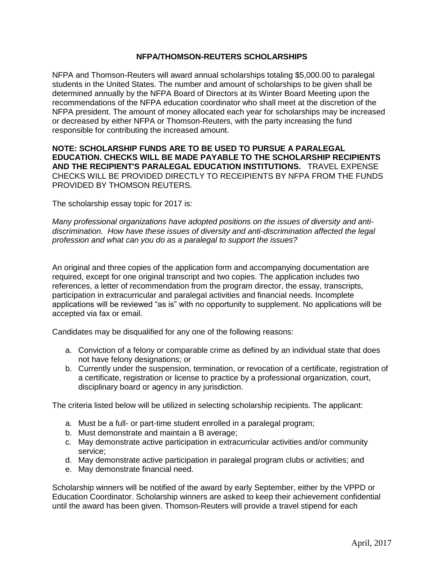## **NFPA/THOMSON-REUTERS SCHOLARSHIPS**

NFPA and Thomson-Reuters will award annual scholarships totaling \$5,000.00 to paralegal students in the United States. The number and amount of scholarships to be given shall be determined annually by the NFPA Board of Directors at its Winter Board Meeting upon the recommendations of the NFPA education coordinator who shall meet at the discretion of the NFPA president. The amount of money allocated each year for scholarships may be increased or decreased by either NFPA or Thomson-Reuters, with the party increasing the fund responsible for contributing the increased amount.

## **NOTE: SCHOLARSHIP FUNDS ARE TO BE USED TO PURSUE A PARALEGAL EDUCATION. CHECKS WILL BE MADE PAYABLE TO THE SCHOLARSHIP RECIPIENTS AND THE RECIPIENT'S PARALEGAL EDUCATION INSTITUTIONS.** TRAVEL EXPENSE CHECKS WILL BE PROVIDED DIRECTLY TO RECEIPIENTS BY NFPA FROM THE FUNDS PROVIDED BY THOMSON REUTERS.

The scholarship essay topic for 2017 is:

*Many professional organizations have adopted positions on the issues of diversity and antidiscrimination. How have these issues of diversity and anti-discrimination affected the legal profession and what can you do as a paralegal to support the issues?*

An original and three copies of the application form and accompanying documentation are required, except for one original transcript and two copies. The application includes two references, a letter of recommendation from the program director, the essay, transcripts, participation in extracurricular and paralegal activities and financial needs. Incomplete applications will be reviewed "as is" with no opportunity to supplement. No applications will be accepted via fax or email.

Candidates may be disqualified for any one of the following reasons:

- a. Conviction of a felony or comparable crime as defined by an individual state that does not have felony designations; or
- b. Currently under the suspension, termination, or revocation of a certificate, registration of a certificate, registration or license to practice by a professional organization, court, disciplinary board or agency in any jurisdiction.

The criteria listed below will be utilized in selecting scholarship recipients. The applicant:

- a. Must be a full- or part-time student enrolled in a paralegal program;
- b. Must demonstrate and maintain a B average;
- c. May demonstrate active participation in extracurricular activities and/or community service;
- d. May demonstrate active participation in paralegal program clubs or activities; and
- e. May demonstrate financial need.

Scholarship winners will be notified of the award by early September, either by the VPPD or Education Coordinator. Scholarship winners are asked to keep their achievement confidential until the award has been given. Thomson-Reuters will provide a travel stipend for each